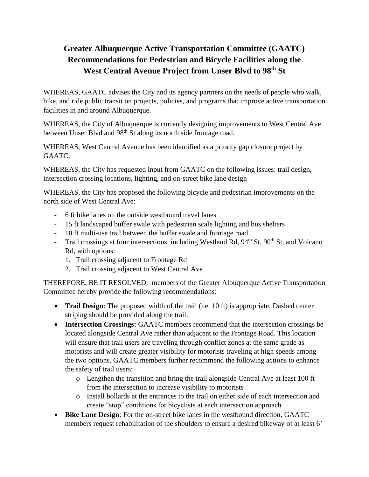## **Greater Albuquerque Active Transportation Committee (GAATC) Recommendations for Pedestrian and Bicycle Facilities along the West Central Avenue Project from Unser Blvd to 98th St**

WHEREAS, GAATC advises the City and its agency partners on the needs of people who walk, bike, and ride public transit on projects, policies, and programs that improve active transportation facilities in and around Albuquerque.

WHEREAS, the City of Albuquerque is currently designing improvements to West Central Ave between Unser Blvd and 98<sup>th</sup> St along its north side frontage road.

WHEREAS, West Central Avenue has been identified as a priority gap closure project by GAATC.

WHEREAS, the City has requested input from GAATC on the following issues: trail design, intersection crossing locations, lighting, and on-street bike lane design

WHEREAS, the City has proposed the following bicycle and pedestrian improvements on the north side of West Central Ave:

- 6 ft bike lanes on the outside westbound travel lanes
- 15 ft landscaped buffer swale with pedestrian scale lighting and bus shelters
- 10 ft multi-use trail between the buffer swale and frontage road
- Trail crossings at four intersections, including Westland Rd, 94<sup>th</sup> St, 90<sup>th</sup> St, and Volcano Rd, with options:
	- 1. Trail crossing adjacent to Frontage Rd
	- 2. Trail crossing adjacent to West Central Ave

THEREFORE, BE IT RESOLVED, members of the Greater Albuquerque Active Transportation Committee hereby provide the following recommendations:

- **Trail Design**: The proposed width of the trail (i.e. 10 ft) is appropriate. Dashed center striping should be provided along the trail.
- **Intersection Crossings:** GAATC members recommend that the intersection crossings be located alongside Central Ave rather than adjacent to the Frontage Road. This location will ensure that trail users are traveling through conflict zones at the same grade as motorists and will create greater visibility for motorists traveling at high speeds among the two options. GAATC members further recommend the following actions to enhance the safety of trail users:
	- o Lengthen the transition and bring the trail alongside Central Ave at least 100 ft from the intersection to increase visibility to motorists
	- o Install bollards at the entrances to the trail on either side of each intersection and create "stop" conditions for bicyclists at each intersection approach
- **Bike Lane Design**: For the on-street bike lanes in the westbound direction, GAATC members request rehabilitation of the shoulders to ensure a desired bikeway of at least 6'